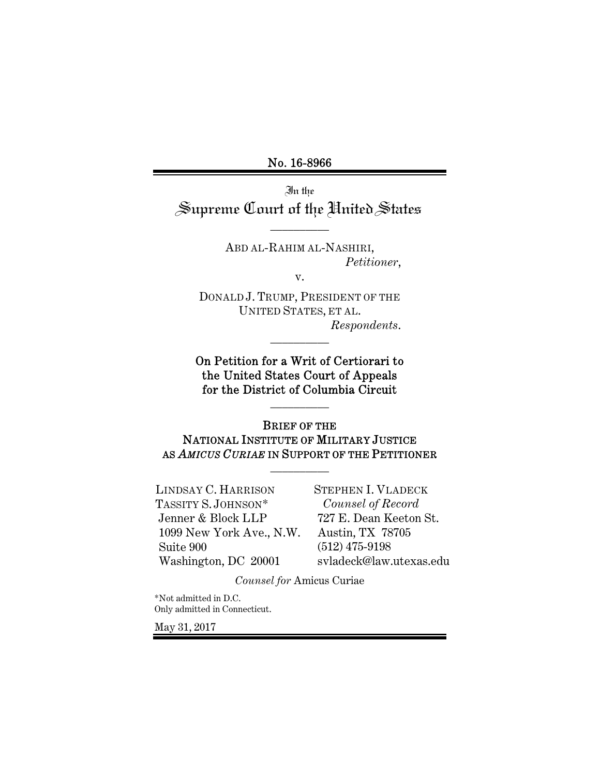No. 16-8966

In the Supreme Court of the United States

\_\_\_\_\_\_\_\_\_\_

ABD AL-RAHIM AL-NASHIRI, *Petitioner*,

v.

DONALD J. TRUMP, PRESIDENT OF THE UNITED STATES, ET AL. *Respondents*.

\_\_\_\_\_\_\_\_\_\_

On Petition for a Writ of Certiorari to the United States Court of Appeals for the District of Columbia Circuit

\_\_\_\_\_\_\_\_\_\_

BRIEF OF THE NATIONAL INSTITUTE OF MILITARY JUSTICE AS *AMICUS CURIAE* IN SUPPORT OF THE PETITIONER

\_\_\_\_\_\_\_\_\_\_

LINDSAY C. HARRISON TASSITY S. JOHNSON\* Jenner & Block LLP 1099 New York Ave., N.W. Suite 900 Washington, DC 20001

STEPHEN I. VLADECK *Counsel of Record*  727 E. Dean Keeton St. Austin, TX 78705 (512) 475-9198 svladeck@law.utexas.edu

*Counsel for* Amicus Curiae

\*Not admitted in D.C. Only admitted in Connecticut.

May 31, 2017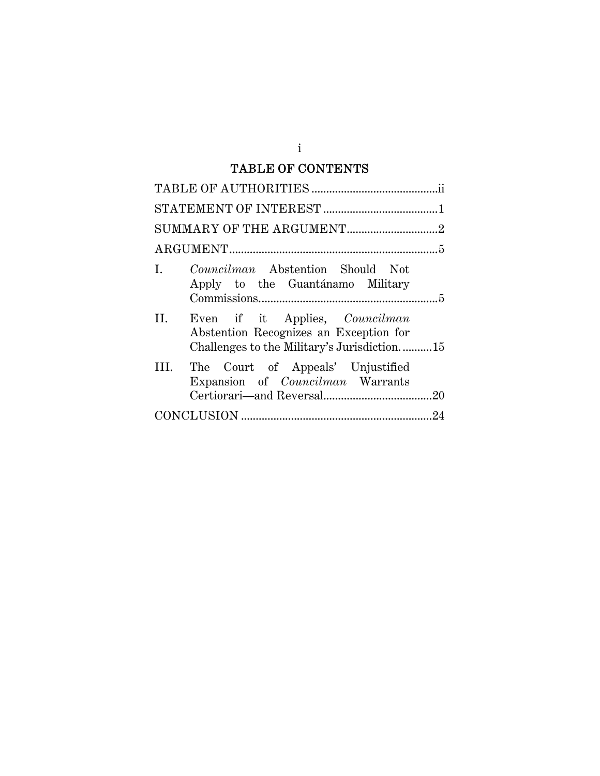# TABLE OF CONTENTS

| $\mathbf{L}$ | <i>Councilman</i> Abstention Should Not<br>Apply to the Guantánamo Military                                                    |  |
|--------------|--------------------------------------------------------------------------------------------------------------------------------|--|
| II.          | Even if it Applies, <i>Councilman</i><br>Abstention Recognizes an Exception for<br>Challenges to the Military's Jurisdiction15 |  |
|              | III. The Court of Appeals' Unjustified<br>Expansion of <i>Councilman</i> Warrants                                              |  |
|              |                                                                                                                                |  |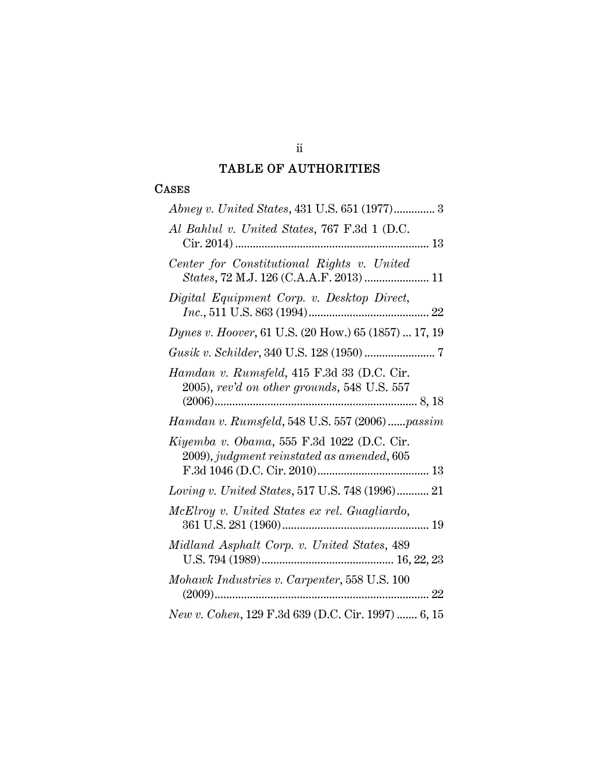# TABLE OF AUTHORITIES

## **CASES**

| Abney v. United States, 431 U.S. 651 (1977) 3                                             |
|-------------------------------------------------------------------------------------------|
| Al Bahlul v. United States, 767 F.3d 1 (D.C.                                              |
| Center for Constitutional Rights v. United<br>States, 72 M.J. 126 (C.A.A.F. 2013)  11     |
| Digital Equipment Corp. v. Desktop Direct,                                                |
| Dynes v. Hoover, 61 U.S. (20 How.) 65 (1857)  17, 19                                      |
|                                                                                           |
| Hamdan v. Rumsfeld, 415 F.3d 33 (D.C. Cir.<br>2005), rev'd on other grounds, 548 U.S. 557 |
| Hamdan v. Rumsfeld, 548 U.S. 557 (2006)passim                                             |
| Kiyemba v. Obama, 555 F.3d 1022 (D.C. Cir.<br>2009), judgment reinstated as amended, 605  |
| Loving v. United States, 517 U.S. 748 (1996) 21                                           |
| McElroy v. United States ex rel. Guagliardo,                                              |
| Midland Asphalt Corp. v. United States, 489                                               |
| Mohawk Industries v. Carpenter, 558 U.S. 100                                              |
| New v. Cohen, 129 F.3d 639 (D.C. Cir. 1997)  6, 15                                        |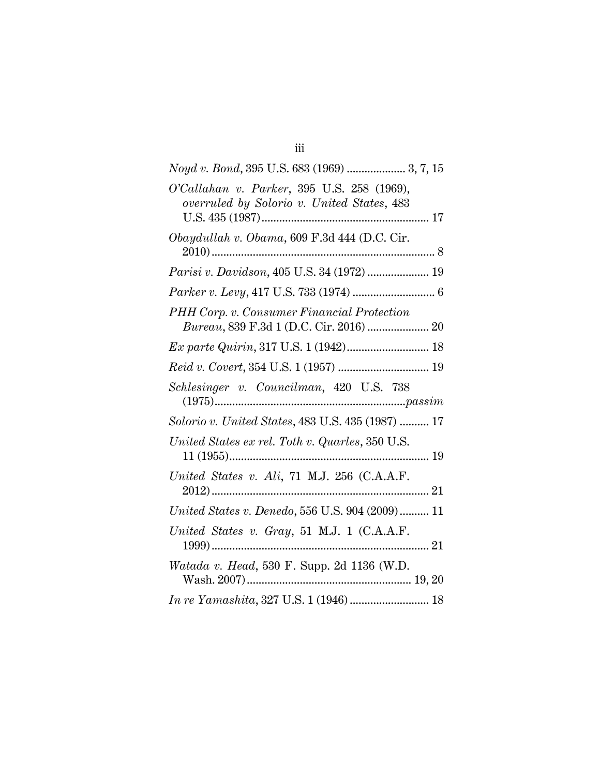| Noyd v. Bond, 395 U.S. 683 (1969)  3, 7, 15                                              |
|------------------------------------------------------------------------------------------|
| O'Callahan v. Parker, 395 U.S. 258 (1969),<br>overruled by Solorio v. United States, 483 |
| Obaydullah v. Obama, 609 F.3d 444 (D.C. Cir.                                             |
| Parisi v. Davidson, 405 U.S. 34 (1972)  19                                               |
|                                                                                          |
| PHH Corp. v. Consumer Financial Protection<br>Bureau, 839 F.3d 1 (D.C. Cir. 2016)  20    |
| Ex parte Quirin, 317 U.S. 1 (1942) 18                                                    |
|                                                                                          |
| Schlesinger v. Councilman, 420 U.S. 738                                                  |
| Solorio v. United States, 483 U.S. 435 (1987)  17                                        |
| United States ex rel. Toth v. Quarles, 350 U.S.                                          |
| United States v. Ali, 71 M.J. 256 (C.A.A.F.                                              |
| United States v. Denedo, 556 U.S. 904 (2009) 11                                          |
| United States v. Gray, 51 M.J. 1 (C.A.A.F.                                               |
| Watada v. Head, 530 F. Supp. 2d 1136 (W.D.                                               |
| In re Yamashita, 327 U.S. 1 (1946)  18                                                   |

iii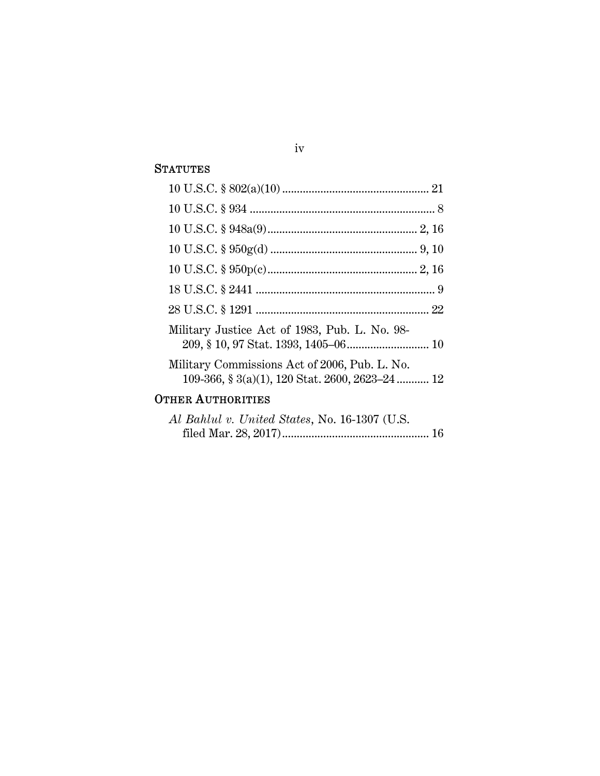### **STATUTES**

| Military Justice Act of 1983, Pub. L. No. 98-                                                    |
|--------------------------------------------------------------------------------------------------|
| Military Commissions Act of 2006, Pub. L. No.<br>109-366, § 3(a)(1), 120 Stat. 2600, 2623-24  12 |
| <b>OTHER AUTHORITIES</b>                                                                         |
| Al Bahlul v. United States, No. 16-1307 (U.S.                                                    |

filed Mar. 28, 2017) .................................................. 16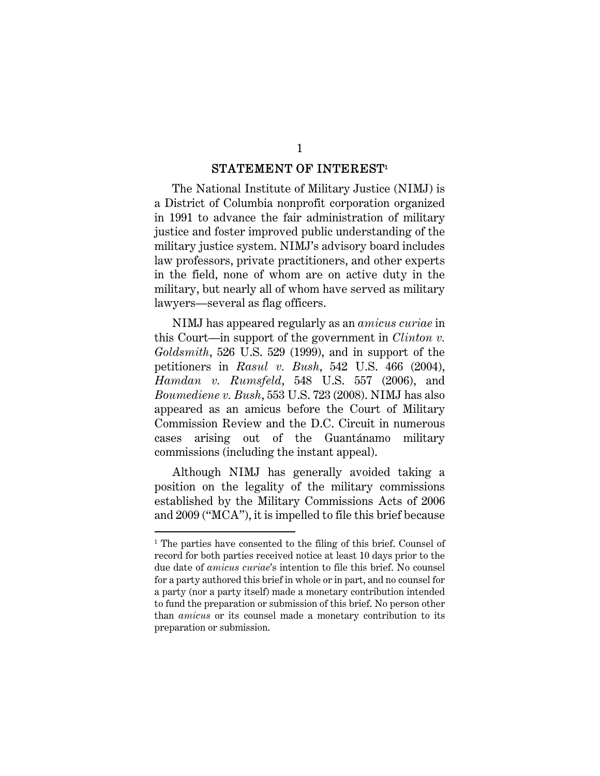#### $\begin{array}{ll}\text{STATEMENT OF INTEREST} \end{array}$

The National Institute of Military Justice (NIMJ) is a District of Columbia nonprofit corporation organized in 1991 to advance the fair administration of military justice and foster improved public understanding of the military justice system. NIMJ's advisory board includes law professors, private practitioners, and other experts in the field, none of whom are on active duty in the military, but nearly all of whom have served as military lawyers—several as flag officers.

NIMJ has appeared regularly as an *amicus curiae* in this Court—in support of the government in *Clinton v. Goldsmith*, 526 U.S. 529 (1999), and in support of the petitioners in *Rasul v. Bush*, 542 U.S. 466 (2004), *Hamdan v. Rumsfeld*, 548 U.S. 557 (2006), and *Boumediene v. Bush*, 553 U.S. 723 (2008). NIMJ has also appeared as an amicus before the Court of Military Commission Review and the D.C. Circuit in numerous cases arising out of the Guantánamo military commissions (including the instant appeal).

Although NIMJ has generally avoided taking a position on the legality of the military commissions established by the Military Commissions Acts of 2006 and 2009 ("MCA"), it is impelled to file this brief because

<sup>&</sup>lt;sup>1</sup> The parties have consented to the filing of this brief. Counsel of record for both parties received notice at least 10 days prior to the due date of *amicus curiae*'s intention to file this brief. No counsel for a party authored this brief in whole or in part, and no counsel for a party (nor a party itself) made a monetary contribution intended to fund the preparation or submission of this brief. No person other than *amicus* or its counsel made a monetary contribution to its preparation or submission.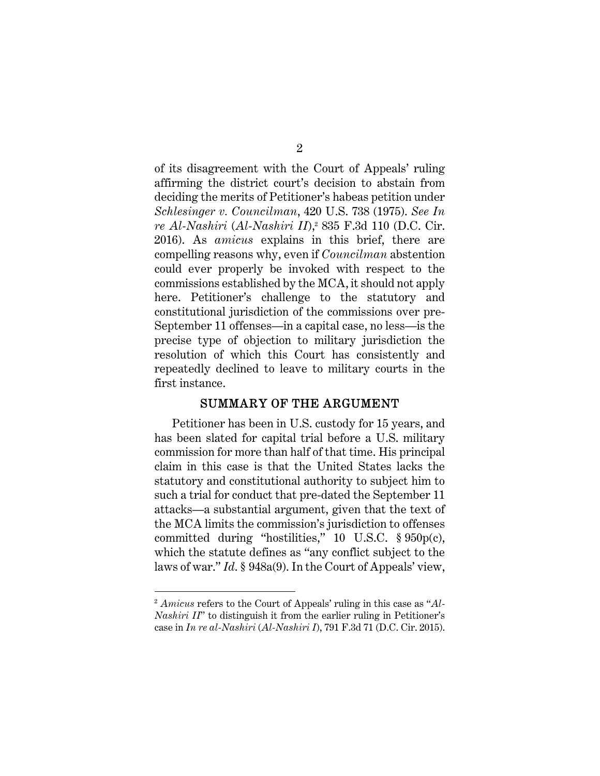of its disagreement with the Court of Appeals' ruling affirming the district court's decision to abstain from deciding the merits of Petitioner's habeas petition under *Schlesinger v. Councilman*, 420 U.S. 738 (1975). *See In re Al-Nashiri* (*Al-Nashiri II*),2 835 F.3d 110 (D.C. Cir. 2016). As *amicus* explains in this brief, there are compelling reasons why, even if *Councilman* abstention could ever properly be invoked with respect to the commissions established by the MCA, it should not apply here. Petitioner's challenge to the statutory and constitutional jurisdiction of the commissions over pre-September 11 offenses—in a capital case, no less—is the precise type of objection to military jurisdiction the resolution of which this Court has consistently and repeatedly declined to leave to military courts in the first instance.

#### SUMMARY OF THE ARGUMENT

Petitioner has been in U.S. custody for 15 years, and has been slated for capital trial before a U.S. military commission for more than half of that time. His principal claim in this case is that the United States lacks the statutory and constitutional authority to subject him to such a trial for conduct that pre-dated the September 11 attacks—a substantial argument, given that the text of the MCA limits the commission's jurisdiction to offenses committed during "hostilities," 10 U.S.C. § 950p(c), which the statute defines as "any conflict subject to the laws of war." *Id*. § 948a(9). In the Court of Appeals' view,

<sup>2</sup> *Amicus* refers to the Court of Appeals' ruling in this case as "*Al-Nashiri II*" to distinguish it from the earlier ruling in Petitioner's case in *In re al-Nashiri* (*Al-Nashiri I*), 791 F.3d 71 (D.C. Cir. 2015).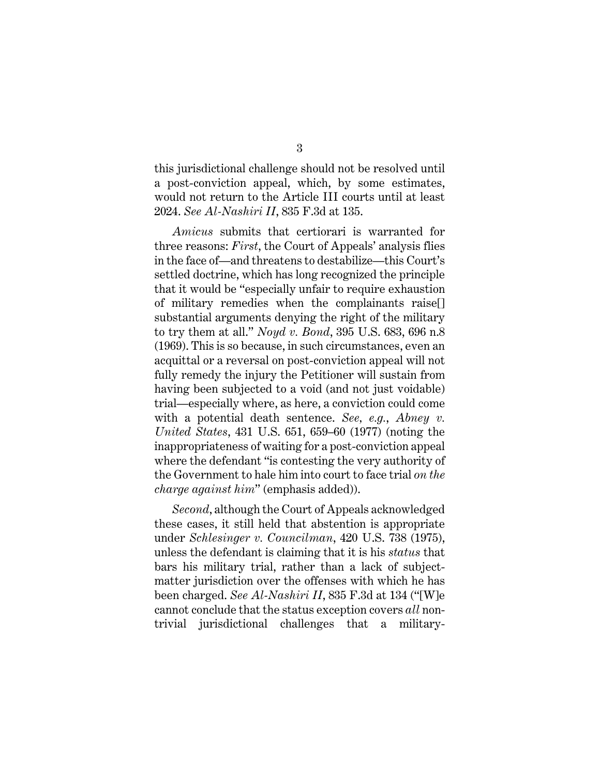this jurisdictional challenge should not be resolved until a post-conviction appeal, which, by some estimates, would not return to the Article III courts until at least 2024. *See Al-Nashiri II*, 835 F.3d at 135.

*Amicus* submits that certiorari is warranted for three reasons: *First*, the Court of Appeals' analysis flies in the face of—and threatens to destabilize—this Court's settled doctrine, which has long recognized the principle that it would be "especially unfair to require exhaustion of military remedies when the complainants raise[] substantial arguments denying the right of the military to try them at all." *Noyd v. Bond*, 395 U.S. 683, 696 n.8 (1969). This is so because, in such circumstances, even an acquittal or a reversal on post-conviction appeal will not fully remedy the injury the Petitioner will sustain from having been subjected to a void (and not just voidable) trial—especially where, as here, a conviction could come with a potential death sentence. *See, e.g.*, *Abney v. United States*, 431 U.S. 651, 659–60 (1977) (noting the inappropriateness of waiting for a post-conviction appeal where the defendant "is contesting the very authority of the Government to hale him into court to face trial *on the charge against him*" (emphasis added)).

*Second*, although the Court of Appeals acknowledged these cases, it still held that abstention is appropriate under *Schlesinger v. Councilman*, 420 U.S. 738 (1975), unless the defendant is claiming that it is his *status* that bars his military trial, rather than a lack of subjectmatter jurisdiction over the offenses with which he has been charged. *See Al-Nashiri II*, 835 F.3d at 134 ("[W]e cannot conclude that the status exception covers *all* nontrivial jurisdictional challenges that a military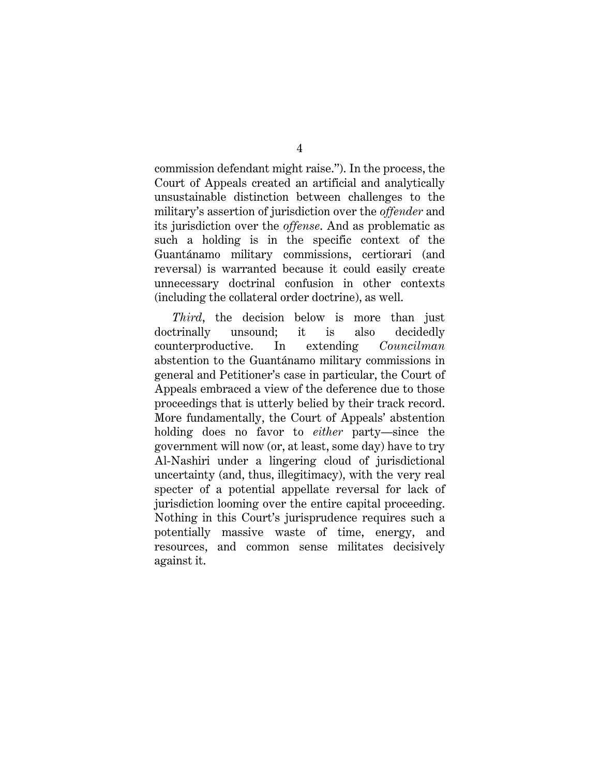commission defendant might raise."). In the process, the Court of Appeals created an artificial and analytically unsustainable distinction between challenges to the military's assertion of jurisdiction over the *offender* and its jurisdiction over the *offense*. And as problematic as such a holding is in the specific context of the Guantánamo military commissions, certiorari (and reversal) is warranted because it could easily create unnecessary doctrinal confusion in other contexts (including the collateral order doctrine), as well.

*Third*, the decision below is more than just doctrinally unsound; it is also decidedly counterproductive. In extending *Councilman* abstention to the Guantánamo military commissions in general and Petitioner's case in particular, the Court of Appeals embraced a view of the deference due to those proceedings that is utterly belied by their track record. More fundamentally, the Court of Appeals' abstention holding does no favor to *either* party—since the government will now (or, at least, some day) have to try Al-Nashiri under a lingering cloud of jurisdictional uncertainty (and, thus, illegitimacy), with the very real specter of a potential appellate reversal for lack of jurisdiction looming over the entire capital proceeding. Nothing in this Court's jurisprudence requires such a potentially massive waste of time, energy, and resources, and common sense militates decisively against it.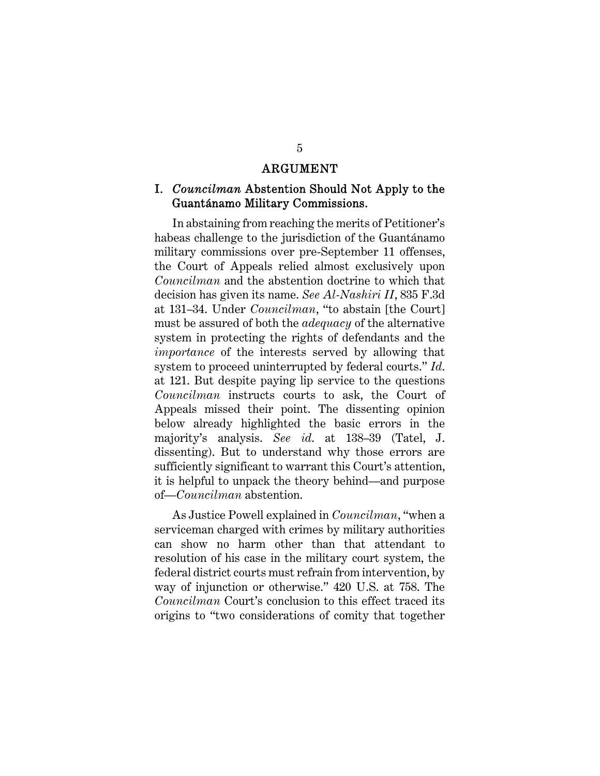#### ARGUMENT

### I. *Councilman* Abstention Should Not Apply to the Guantánamo Military Commissions.

In abstaining from reaching the merits of Petitioner's habeas challenge to the jurisdiction of the Guantánamo military commissions over pre-September 11 offenses, the Court of Appeals relied almost exclusively upon *Councilman* and the abstention doctrine to which that decision has given its name. *See Al-Nashiri II*, 835 F.3d at 131–34. Under *Councilman*, "to abstain [the Court] must be assured of both the *adequacy* of the alternative system in protecting the rights of defendants and the *importance* of the interests served by allowing that system to proceed uninterrupted by federal courts." *Id*. at 121. But despite paying lip service to the questions *Councilman* instructs courts to ask, the Court of Appeals missed their point. The dissenting opinion below already highlighted the basic errors in the majority's analysis. *See id*. at 138–39 (Tatel, J. dissenting). But to understand why those errors are sufficiently significant to warrant this Court's attention, it is helpful to unpack the theory behind—and purpose of—*Councilman* abstention.

As Justice Powell explained in *Councilman*, "when a serviceman charged with crimes by military authorities can show no harm other than that attendant to resolution of his case in the military court system, the federal district courts must refrain from intervention, by way of injunction or otherwise." 420 U.S. at 758. The *Councilman* Court's conclusion to this effect traced its origins to "two considerations of comity that together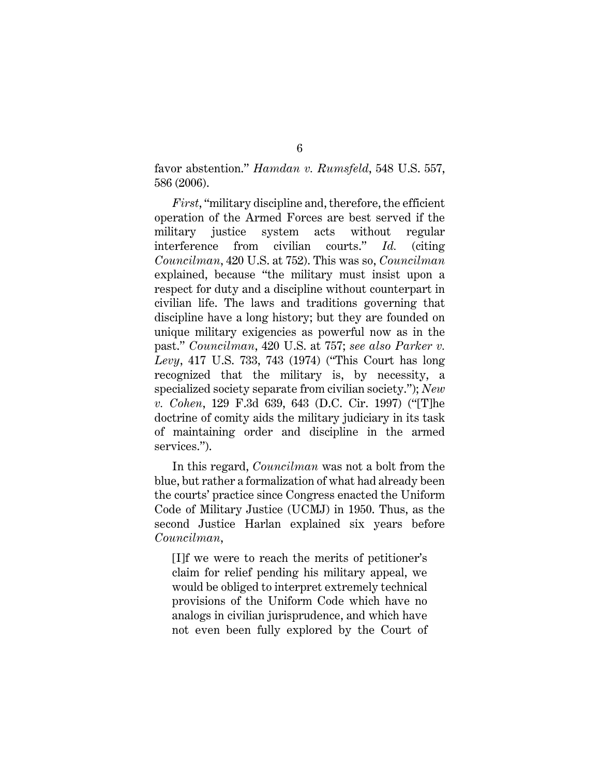favor abstention." *Hamdan v. Rumsfeld*, 548 U.S. 557, 586 (2006).

*First*, "military discipline and, therefore, the efficient operation of the Armed Forces are best served if the military justice system acts without regular interference from civilian courts." *Id.* (citing *Councilman*, 420 U.S. at 752). This was so, *Councilman* explained, because "the military must insist upon a respect for duty and a discipline without counterpart in civilian life. The laws and traditions governing that discipline have a long history; but they are founded on unique military exigencies as powerful now as in the past." *Councilman*, 420 U.S. at 757; *see also Parker v. Levy*, 417 U.S. 733, 743 (1974) ("This Court has long recognized that the military is, by necessity, a specialized society separate from civilian society."); *New v. Cohen*, 129 F.3d 639, 643 (D.C. Cir. 1997) ("[T]he doctrine of comity aids the military judiciary in its task of maintaining order and discipline in the armed services.").

In this regard, *Councilman* was not a bolt from the blue, but rather a formalization of what had already been the courts' practice since Congress enacted the Uniform Code of Military Justice (UCMJ) in 1950. Thus, as the second Justice Harlan explained six years before *Councilman*,

[I]f we were to reach the merits of petitioner's claim for relief pending his military appeal, we would be obliged to interpret extremely technical provisions of the Uniform Code which have no analogs in civilian jurisprudence, and which have not even been fully explored by the Court of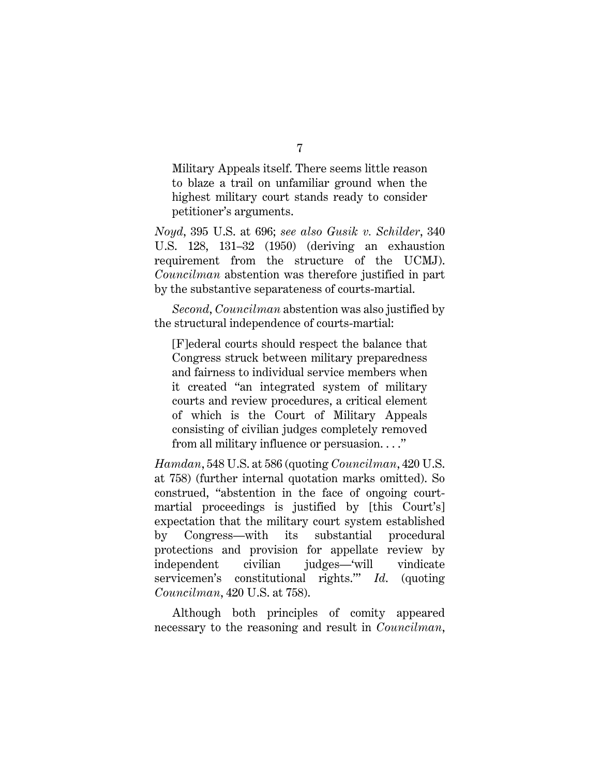Military Appeals itself. There seems little reason to blaze a trail on unfamiliar ground when the highest military court stands ready to consider petitioner's arguments.

*Noyd*, 395 U.S. at 696; *see also Gusik v. Schilder*, 340 U.S. 128, 131–32 (1950) (deriving an exhaustion requirement from the structure of the UCMJ). *Councilman* abstention was therefore justified in part by the substantive separateness of courts-martial.

*Second*, *Councilman* abstention was also justified by the structural independence of courts-martial:

[F]ederal courts should respect the balance that Congress struck between military preparedness and fairness to individual service members when it created "an integrated system of military courts and review procedures, a critical element of which is the Court of Military Appeals consisting of civilian judges completely removed from all military influence or persuasion. . . ."

*Hamdan*, 548 U.S. at 586 (quoting *Councilman*, 420 U.S. at 758) (further internal quotation marks omitted). So construed, "abstention in the face of ongoing courtmartial proceedings is justified by [this Court's] expectation that the military court system established by Congress—with its substantial procedural protections and provision for appellate review by independent civilian judges—'will vindicate servicemen's constitutional rights.'" *Id*. (quoting *Councilman*, 420 U.S. at 758).

Although both principles of comity appeared necessary to the reasoning and result in *Councilman*,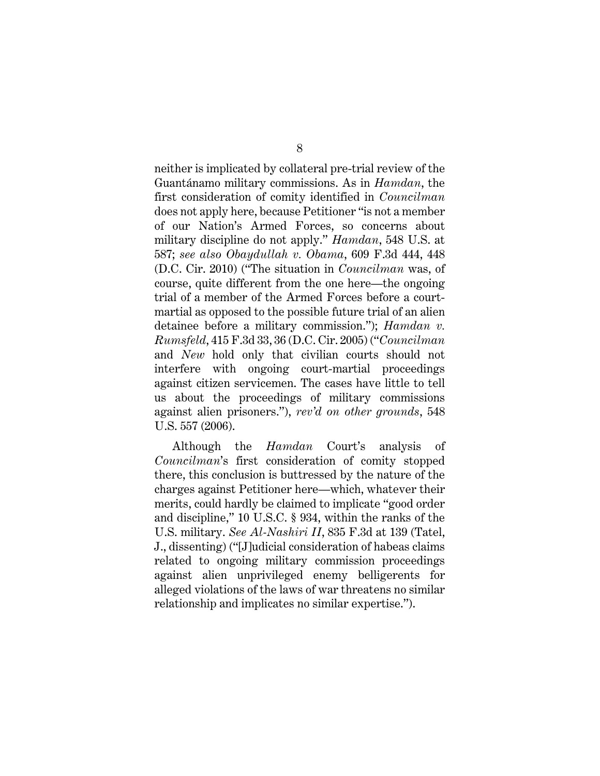neither is implicated by collateral pre-trial review of the Guantánamo military commissions. As in *Hamdan*, the first consideration of comity identified in *Councilman* does not apply here, because Petitioner "is not a member of our Nation's Armed Forces, so concerns about military discipline do not apply." *Hamdan*, 548 U.S. at 587; *see also Obaydullah v. Obama*, 609 F.3d 444, 448 (D.C. Cir. 2010) ("The situation in *Councilman* was, of course, quite different from the one here—the ongoing trial of a member of the Armed Forces before a courtmartial as opposed to the possible future trial of an alien detainee before a military commission."); *Hamdan v. Rumsfeld*, 415 F.3d 33, 36 (D.C. Cir. 2005) ("*Councilman* and *New* hold only that civilian courts should not interfere with ongoing court-martial proceedings against citizen servicemen. The cases have little to tell us about the proceedings of military commissions against alien prisoners."), *rev'd on other grounds*, 548 U.S. 557 (2006).

Although the *Hamdan* Court's analysis of *Councilman*'s first consideration of comity stopped there, this conclusion is buttressed by the nature of the charges against Petitioner here—which, whatever their merits, could hardly be claimed to implicate "good order and discipline," 10 U.S.C. § 934, within the ranks of the U.S. military. *See Al-Nashiri II*, 835 F.3d at 139 (Tatel, J., dissenting) ("[J]udicial consideration of habeas claims related to ongoing military commission proceedings against alien unprivileged enemy belligerents for alleged violations of the laws of war threatens no similar relationship and implicates no similar expertise.").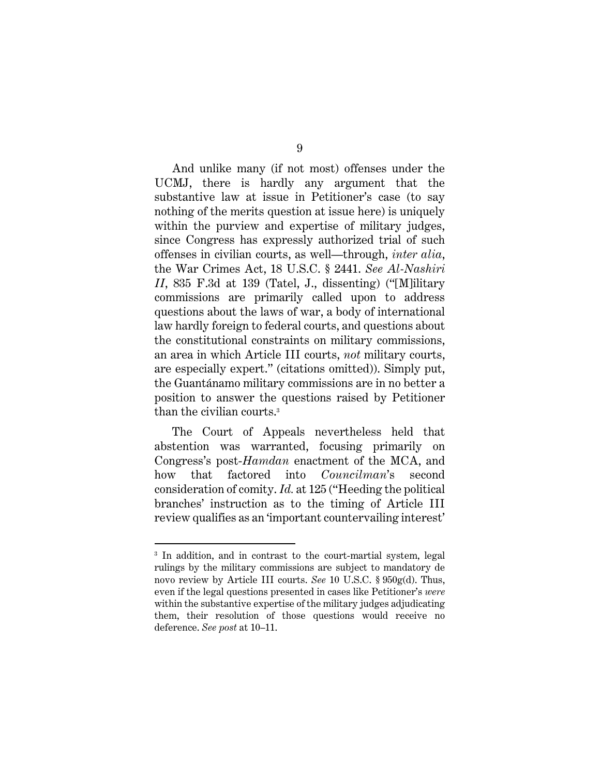And unlike many (if not most) offenses under the UCMJ, there is hardly any argument that the substantive law at issue in Petitioner's case (to say nothing of the merits question at issue here) is uniquely within the purview and expertise of military judges, since Congress has expressly authorized trial of such offenses in civilian courts, as well—through, *inter alia*, the War Crimes Act, 18 U.S.C. § 2441. *See Al-Nashiri II*, 835 F.3d at 139 (Tatel, J., dissenting) ("[M]ilitary commissions are primarily called upon to address questions about the laws of war, a body of international law hardly foreign to federal courts, and questions about the constitutional constraints on military commissions, an area in which Article III courts, *not* military courts, are especially expert." (citations omitted)). Simply put, the Guantánamo military commissions are in no better a position to answer the questions raised by Petitioner than the civilian courts.3

The Court of Appeals nevertheless held that abstention was warranted, focusing primarily on Congress's post-*Hamdan* enactment of the MCA, and how that factored into *Councilman*'s second consideration of comity. *Id.* at 125 ("Heeding the political branches' instruction as to the timing of Article III review qualifies as an 'important countervailing interest'

<sup>3</sup> In addition, and in contrast to the court-martial system, legal rulings by the military commissions are subject to mandatory de novo review by Article III courts. *See* 10 U.S.C. § 950g(d). Thus, even if the legal questions presented in cases like Petitioner's *were* within the substantive expertise of the military judges adjudicating them, their resolution of those questions would receive no deference. *See post* at 10–11.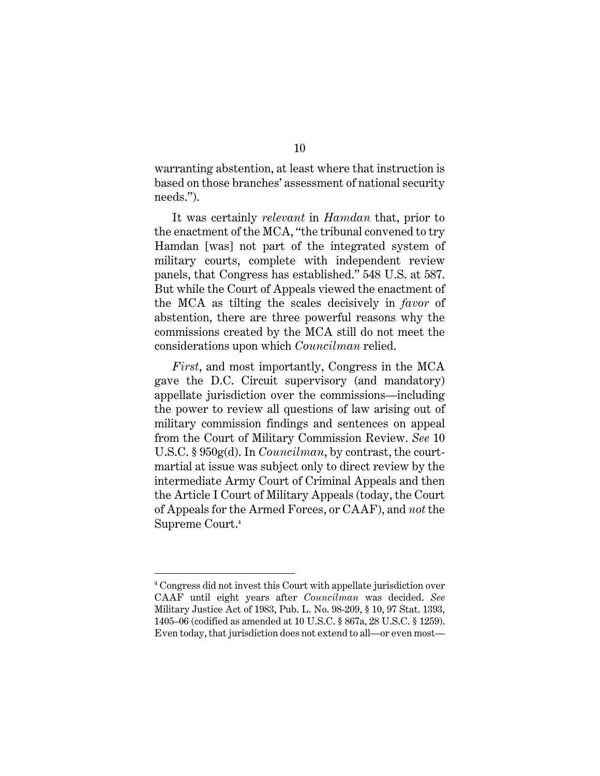warranting abstention, at least where that instruction is based on those branches' assessment of national security needs.").

It was certainly *relevant* in *Hamdan* that, prior to the enactment of the MCA, "the tribunal convened to try Hamdan [was] not part of the integrated system of military courts, complete with independent review panels, that Congress has established." 548 U.S. at 587. But while the Court of Appeals viewed the enactment of the MCA as tilting the scales decisively in *favor* of abstention, there are three powerful reasons why the commissions created by the MCA still do not meet the considerations upon which *Councilman* relied.

*First*, and most importantly, Congress in the MCA gave the D.C. Circuit supervisory (and mandatory) appellate jurisdiction over the commissions—including the power to review all questions of law arising out of military commission findings and sentences on appeal from the Court of Military Commission Review. *See* 10 U.S.C. § 950g(d). In *Councilman*, by contrast, the courtmartial at issue was subject only to direct review by the intermediate Army Court of Criminal Appeals and then the Article I Court of Military Appeals (today, the Court of Appeals for the Armed Forces, or CAAF), and *not* the Supreme Court.4

<sup>4</sup> Congress did not invest this Court with appellate jurisdiction over CAAF until eight years after *Councilman* was decided. *See*  Military Justice Act of 1983, Pub. L. No. 98-209, § 10, 97 Stat. 1393, 1405–06 (codified as amended at 10 U.S.C. § 867a, 28 U.S.C. § 1259). Even today, that jurisdiction does not extend to all—or even most—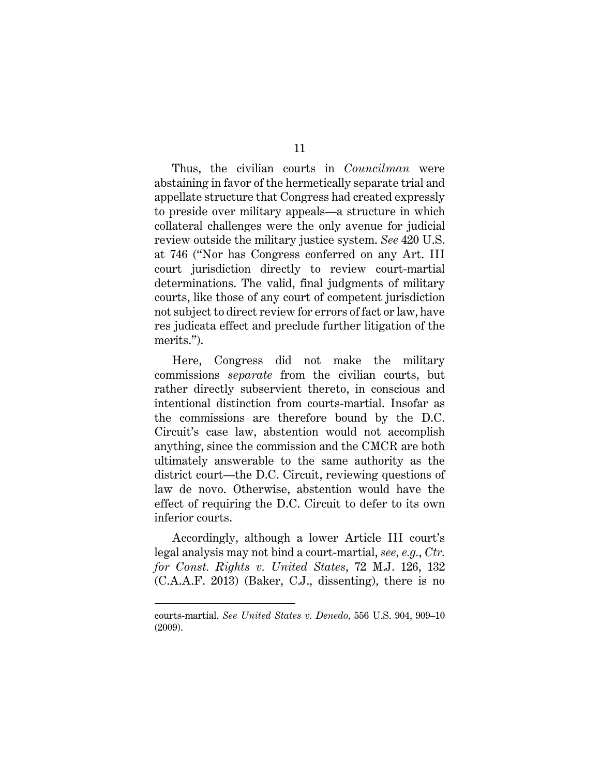Thus, the civilian courts in *Councilman* were abstaining in favor of the hermetically separate trial and appellate structure that Congress had created expressly to preside over military appeals—a structure in which collateral challenges were the only avenue for judicial review outside the military justice system. *See* 420 U.S. at 746 ("Nor has Congress conferred on any Art. III court jurisdiction directly to review court-martial determinations. The valid, final judgments of military courts, like those of any court of competent jurisdiction not subject to direct review for errors of fact or law, have res judicata effect and preclude further litigation of the merits.").

Here, Congress did not make the military commissions *separate* from the civilian courts, but rather directly subservient thereto, in conscious and intentional distinction from courts-martial. Insofar as the commissions are therefore bound by the D.C. Circuit's case law, abstention would not accomplish anything, since the commission and the CMCR are both ultimately answerable to the same authority as the district court—the D.C. Circuit, reviewing questions of law de novo. Otherwise, abstention would have the effect of requiring the D.C. Circuit to defer to its own inferior courts.

Accordingly, although a lower Article III court's legal analysis may not bind a court-martial, *see, e.g.*, *Ctr. for Const. Rights v. United States*, 72 M.J. 126, 132 (C.A.A.F. 2013) (Baker, C.J., dissenting), there is no

courts-martial. *See United States v. Denedo*, 556 U.S. 904, 909–10 (2009).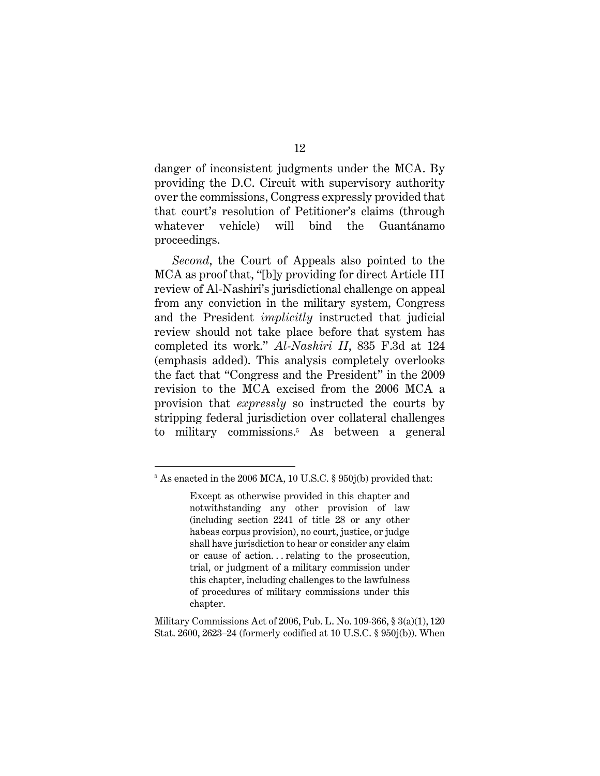danger of inconsistent judgments under the MCA. By providing the D.C. Circuit with supervisory authority over the commissions, Congress expressly provided that that court's resolution of Petitioner's claims (through whatever vehicle) will bind the Guantánamo proceedings.

*Second*, the Court of Appeals also pointed to the MCA as proof that, "[b]y providing for direct Article III review of Al-Nashiri's jurisdictional challenge on appeal from any conviction in the military system, Congress and the President *implicitly* instructed that judicial review should not take place before that system has completed its work." *Al-Nashiri II*, 835 F.3d at 124 (emphasis added). This analysis completely overlooks the fact that "Congress and the President" in the 2009 revision to the MCA excised from the 2006 MCA a provision that *expressly* so instructed the courts by stripping federal jurisdiction over collateral challenges to military commissions.5 As between a general

<sup>5</sup> As enacted in the 2006 MCA, 10 U.S.C. § 950j(b) provided that:

Except as otherwise provided in this chapter and notwithstanding any other provision of law (including section 2241 of title 28 or any other habeas corpus provision), no court, justice, or judge shall have jurisdiction to hear or consider any claim or cause of action. . . relating to the prosecution, trial, or judgment of a military commission under this chapter, including challenges to the lawfulness of procedures of military commissions under this chapter.

Military Commissions Act of 2006, Pub. L. No. 109-366, § 3(a)(1), 120 Stat. 2600, 2623–24 (formerly codified at 10 U.S.C. § 950j(b)). When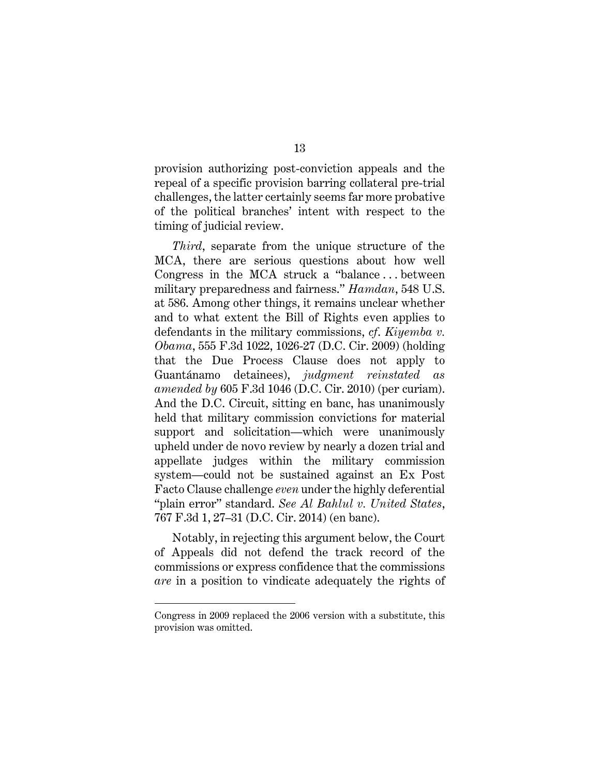provision authorizing post-conviction appeals and the repeal of a specific provision barring collateral pre-trial challenges, the latter certainly seems far more probative of the political branches' intent with respect to the timing of judicial review.

*Third*, separate from the unique structure of the MCA, there are serious questions about how well Congress in the MCA struck a "balance . . . between military preparedness and fairness." *Hamdan*, 548 U.S. at 586. Among other things, it remains unclear whether and to what extent the Bill of Rights even applies to defendants in the military commissions, *cf*. *Kiyemba v. Obama*, 555 F.3d 1022, 1026-27 (D.C. Cir. 2009) (holding that the Due Process Clause does not apply to Guantánamo detainees), *judgment reinstated as amended by* 605 F.3d 1046 (D.C. Cir. 2010) (per curiam). And the D.C. Circuit, sitting en banc, has unanimously held that military commission convictions for material support and solicitation—which were unanimously upheld under de novo review by nearly a dozen trial and appellate judges within the military commission system—could not be sustained against an Ex Post Facto Clause challenge *even* under the highly deferential "plain error" standard. *See Al Bahlul v. United States*, 767 F.3d 1, 27–31 (D.C. Cir. 2014) (en banc).

Notably, in rejecting this argument below, the Court of Appeals did not defend the track record of the commissions or express confidence that the commissions *are* in a position to vindicate adequately the rights of

Congress in 2009 replaced the 2006 version with a substitute, this provision was omitted.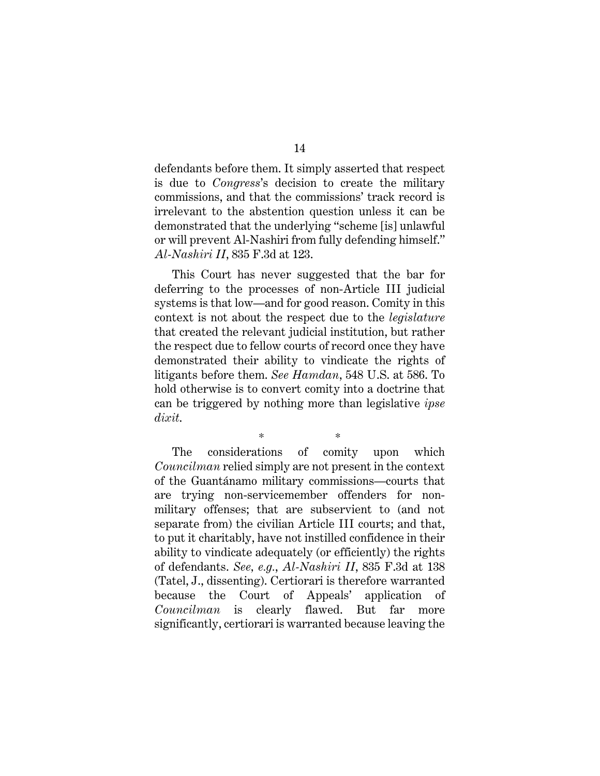defendants before them. It simply asserted that respect is due to *Congress*'s decision to create the military commissions, and that the commissions' track record is irrelevant to the abstention question unless it can be demonstrated that the underlying "scheme [is] unlawful or will prevent Al-Nashiri from fully defending himself." *Al-Nashiri II*, 835 F.3d at 123.

This Court has never suggested that the bar for deferring to the processes of non-Article III judicial systems is that low—and for good reason. Comity in this context is not about the respect due to the *legislature* that created the relevant judicial institution, but rather the respect due to fellow courts of record once they have demonstrated their ability to vindicate the rights of litigants before them. *See Hamdan*, 548 U.S. at 586. To hold otherwise is to convert comity into a doctrine that can be triggered by nothing more than legislative *ipse dixit*.

\* \* The considerations of comity upon which *Councilman* relied simply are not present in the context of the Guantánamo military commissions—courts that are trying non-servicemember offenders for nonmilitary offenses; that are subservient to (and not separate from) the civilian Article III courts; and that, to put it charitably, have not instilled confidence in their ability to vindicate adequately (or efficiently) the rights of defendants. *See, e.g.*, *Al-Nashiri II*, 835 F.3d at 138 (Tatel, J., dissenting). Certiorari is therefore warranted because the Court of Appeals' application of *Councilman* is clearly flawed. But far more significantly, certiorari is warranted because leaving the

14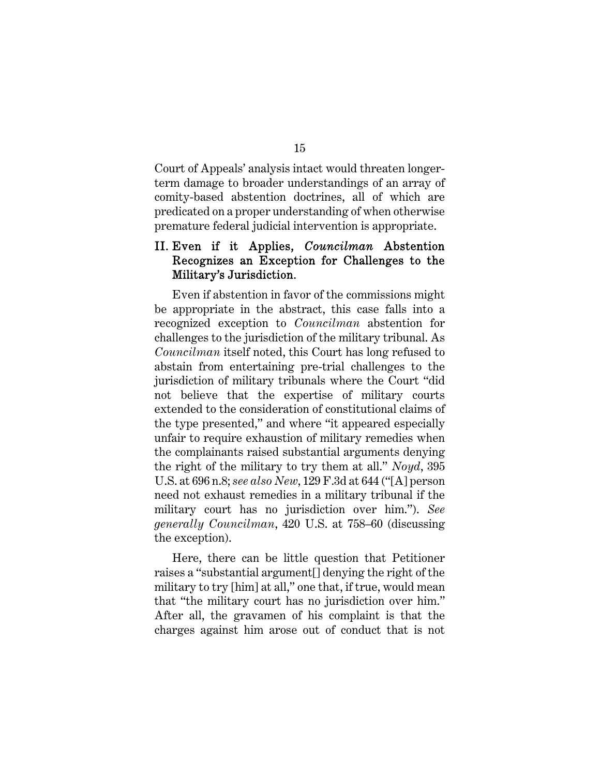Court of Appeals' analysis intact would threaten longerterm damage to broader understandings of an array of comity-based abstention doctrines, all of which are predicated on a proper understanding of when otherwise premature federal judicial intervention is appropriate.

## II. Even if it Applies, *Councilman* Abstention Recognizes an Exception for Challenges to the Military's Jurisdiction.

Even if abstention in favor of the commissions might be appropriate in the abstract, this case falls into a recognized exception to *Councilman* abstention for challenges to the jurisdiction of the military tribunal. As *Councilman* itself noted, this Court has long refused to abstain from entertaining pre-trial challenges to the jurisdiction of military tribunals where the Court "did not believe that the expertise of military courts extended to the consideration of constitutional claims of the type presented," and where "it appeared especially unfair to require exhaustion of military remedies when the complainants raised substantial arguments denying the right of the military to try them at all." *Noyd*, 395 U.S. at 696 n.8; *see also New*, 129 F.3d at 644 ("[A] person need not exhaust remedies in a military tribunal if the military court has no jurisdiction over him."). *See generally Councilman*, 420 U.S. at 758–60 (discussing the exception).

Here, there can be little question that Petitioner raises a "substantial argument[] denying the right of the military to try [him] at all," one that, if true, would mean that "the military court has no jurisdiction over him." After all, the gravamen of his complaint is that the charges against him arose out of conduct that is not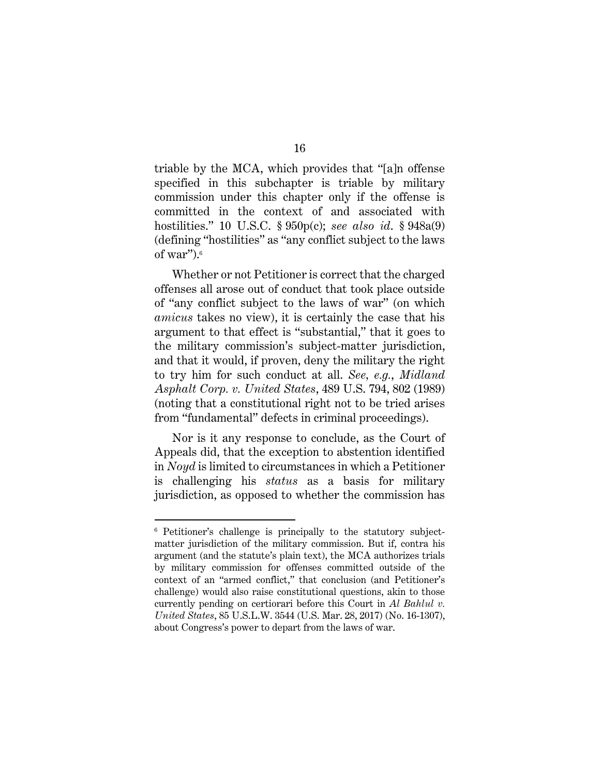triable by the MCA, which provides that "[a]n offense specified in this subchapter is triable by military commission under this chapter only if the offense is committed in the context of and associated with hostilities." 10 U.S.C. § 950p(c); *see also id*. § 948a(9) (defining "hostilities" as "any conflict subject to the laws of war"). $6$ 

Whether or not Petitioner is correct that the charged offenses all arose out of conduct that took place outside of "any conflict subject to the laws of war" (on which *amicus* takes no view), it is certainly the case that his argument to that effect is "substantial," that it goes to the military commission's subject-matter jurisdiction, and that it would, if proven, deny the military the right to try him for such conduct at all. *See, e.g.*, *Midland Asphalt Corp. v. United States*, 489 U.S. 794, 802 (1989) (noting that a constitutional right not to be tried arises from "fundamental" defects in criminal proceedings).

Nor is it any response to conclude, as the Court of Appeals did, that the exception to abstention identified in *Noyd* is limited to circumstances in which a Petitioner is challenging his *status* as a basis for military jurisdiction, as opposed to whether the commission has

<sup>6</sup> Petitioner's challenge is principally to the statutory subjectmatter jurisdiction of the military commission. But if, contra his argument (and the statute's plain text), the MCA authorizes trials by military commission for offenses committed outside of the context of an "armed conflict," that conclusion (and Petitioner's challenge) would also raise constitutional questions, akin to those currently pending on certiorari before this Court in *Al Bahlul v. United States*, 85 U.S.L.W. 3544 (U.S. Mar. 28, 2017) (No. 16-1307), about Congress's power to depart from the laws of war.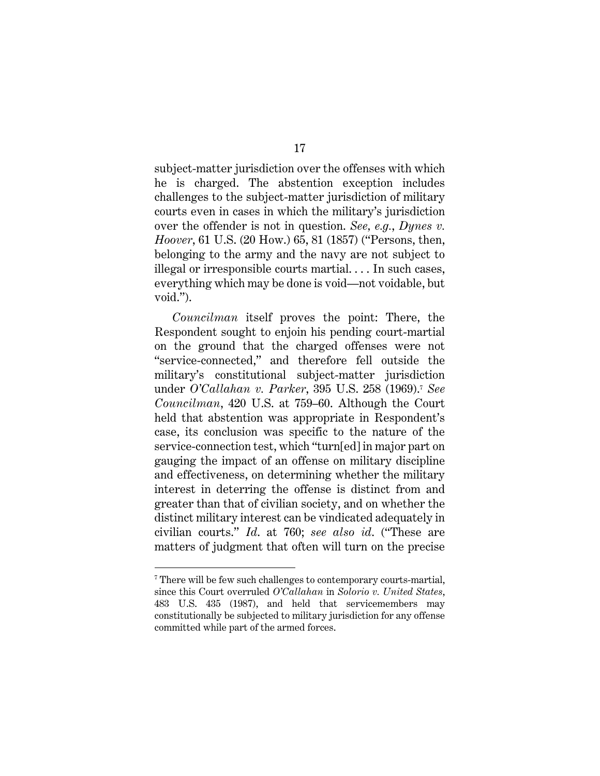subject-matter jurisdiction over the offenses with which he is charged. The abstention exception includes challenges to the subject-matter jurisdiction of military courts even in cases in which the military's jurisdiction over the offender is not in question. *See, e.g.*, *Dynes v. Hoover*, 61 U.S. (20 How.) 65, 81 (1857) ("Persons, then, belonging to the army and the navy are not subject to illegal or irresponsible courts martial. . . . In such cases, everything which may be done is void—not voidable, but void.").

*Councilman* itself proves the point: There, the Respondent sought to enjoin his pending court-martial on the ground that the charged offenses were not "service-connected," and therefore fell outside the military's constitutional subject-matter jurisdiction under *O'Callahan v. Parker*, 395 U.S. 258 (1969).7 *See Councilman*, 420 U.S. at 759–60. Although the Court held that abstention was appropriate in Respondent's case, its conclusion was specific to the nature of the service-connection test, which "turn[ed] in major part on gauging the impact of an offense on military discipline and effectiveness, on determining whether the military interest in deterring the offense is distinct from and greater than that of civilian society, and on whether the distinct military interest can be vindicated adequately in civilian courts." *Id*. at 760; *see also id*. ("These are matters of judgment that often will turn on the precise

<sup>7</sup> There will be few such challenges to contemporary courts-martial, since this Court overruled *O'Callahan* in *Solorio v. United States*, 483 U.S. 435 (1987), and held that servicemembers may constitutionally be subjected to military jurisdiction for any offense committed while part of the armed forces.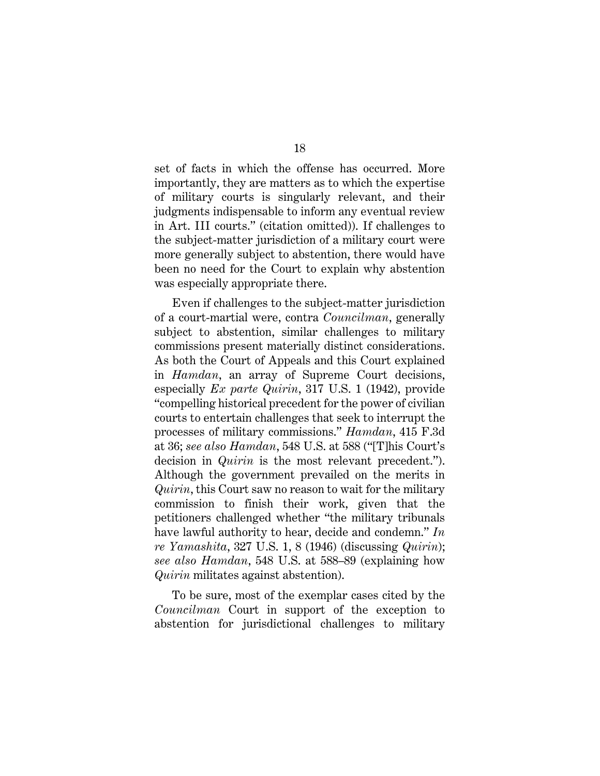set of facts in which the offense has occurred. More importantly, they are matters as to which the expertise of military courts is singularly relevant, and their judgments indispensable to inform any eventual review in Art. III courts." (citation omitted)). If challenges to the subject-matter jurisdiction of a military court were more generally subject to abstention, there would have been no need for the Court to explain why abstention was especially appropriate there.

Even if challenges to the subject-matter jurisdiction of a court-martial were, contra *Councilman*, generally subject to abstention, similar challenges to military commissions present materially distinct considerations. As both the Court of Appeals and this Court explained in *Hamdan*, an array of Supreme Court decisions, especially *Ex parte Quirin*, 317 U.S. 1 (1942), provide "compelling historical precedent for the power of civilian courts to entertain challenges that seek to interrupt the processes of military commissions." *Hamdan*, 415 F.3d at 36; *see also Hamdan*, 548 U.S. at 588 ("[T]his Court's decision in *Quirin* is the most relevant precedent."). Although the government prevailed on the merits in *Quirin*, this Court saw no reason to wait for the military commission to finish their work, given that the petitioners challenged whether "the military tribunals have lawful authority to hear, decide and condemn." *In re Yamashita*, 327 U.S. 1, 8 (1946) (discussing *Quirin*); *see also Hamdan*, 548 U.S. at 588–89 (explaining how *Quirin* militates against abstention).

To be sure, most of the exemplar cases cited by the *Councilman* Court in support of the exception to abstention for jurisdictional challenges to military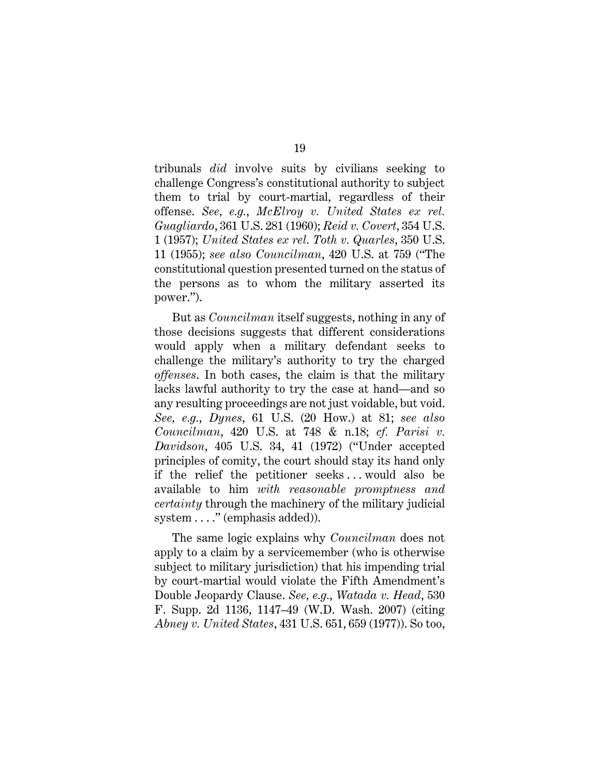tribunals *did* involve suits by civilians seeking to challenge Congress's constitutional authority to subject them to trial by court-martial, regardless of their offense. *See, e.g.*, *McElroy v. United States ex rel. Guagliardo*, 361 U.S. 281 (1960); *Reid v. Covert*, 354 U.S. 1 (1957); *United States ex rel. Toth v. Quarles*, 350 U.S. 11 (1955); *see also Councilman*, 420 U.S. at 759 ("The constitutional question presented turned on the status of the persons as to whom the military asserted its power.").

But as *Councilman* itself suggests, nothing in any of those decisions suggests that different considerations would apply when a military defendant seeks to challenge the military's authority to try the charged *offenses*. In both cases, the claim is that the military lacks lawful authority to try the case at hand—and so any resulting proceedings are not just voidable, but void. *See, e.g.*, *Dynes*, 61 U.S. (20 How.) at 81; *see also Councilman*, 420 U.S. at 748 & n.18; *cf. Parisi v. Davidson*, 405 U.S. 34, 41 (1972) ("Under accepted principles of comity, the court should stay its hand only if the relief the petitioner seeks . . . would also be available to him *with reasonable promptness and certainty* through the machinery of the military judicial system ...." (emphasis added)).

The same logic explains why *Councilman* does not apply to a claim by a servicemember (who is otherwise subject to military jurisdiction) that his impending trial by court-martial would violate the Fifth Amendment's Double Jeopardy Clause. *See, e.g.*, *Watada v. Head*, 530 F. Supp. 2d 1136, 1147–49 (W.D. Wash. 2007) (citing *Abney v. United States*, 431 U.S. 651, 659 (1977)). So too,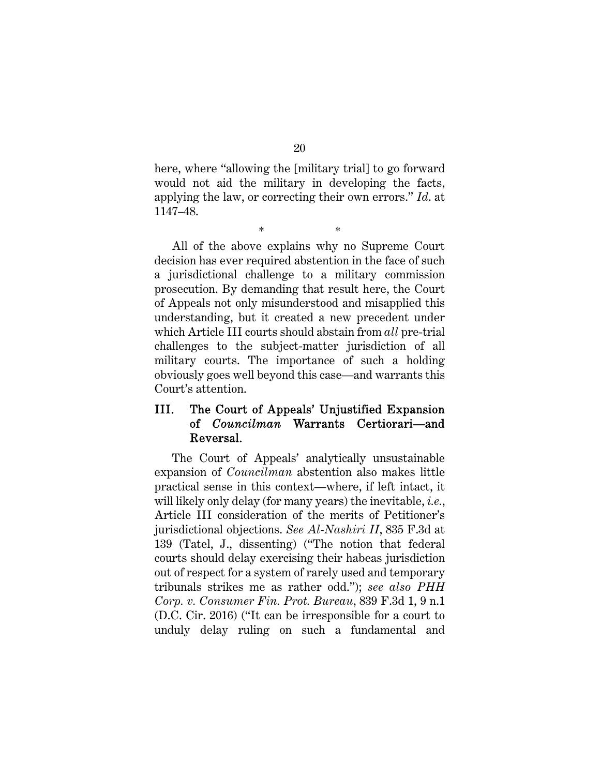here, where "allowing the [military trial] to go forward would not aid the military in developing the facts, applying the law, or correcting their own errors." *Id*. at 1147–48.

\* \*

All of the above explains why no Supreme Court decision has ever required abstention in the face of such a jurisdictional challenge to a military commission prosecution. By demanding that result here, the Court of Appeals not only misunderstood and misapplied this understanding, but it created a new precedent under which Article III courts should abstain from *all* pre-trial challenges to the subject-matter jurisdiction of all military courts. The importance of such a holding obviously goes well beyond this case—and warrants this Court's attention.

## III. The Court of Appeals' Unjustified Expansion of *Councilman* Warrants Certiorari—and Reversal.

The Court of Appeals' analytically unsustainable expansion of *Councilman* abstention also makes little practical sense in this context—where, if left intact, it will likely only delay (for many years) the inevitable, *i.e.*, Article III consideration of the merits of Petitioner's jurisdictional objections. *See Al-Nashiri II*, 835 F.3d at 139 (Tatel, J., dissenting) ("The notion that federal courts should delay exercising their habeas jurisdiction out of respect for a system of rarely used and temporary tribunals strikes me as rather odd."); *see also PHH Corp. v. Consumer Fin. Prot. Bureau*, 839 F.3d 1, 9 n.1 (D.C. Cir. 2016) ("It can be irresponsible for a court to unduly delay ruling on such a fundamental and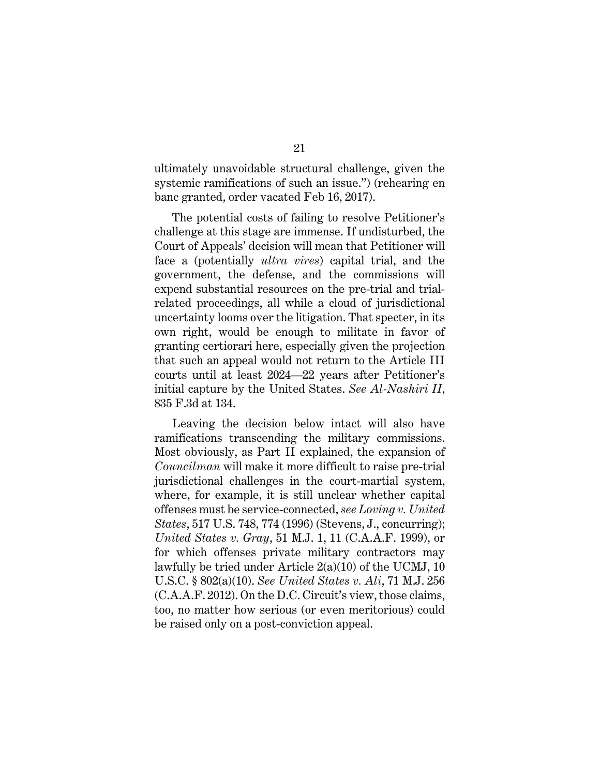ultimately unavoidable structural challenge, given the systemic ramifications of such an issue.") (rehearing en banc granted, order vacated Feb 16, 2017).

The potential costs of failing to resolve Petitioner's challenge at this stage are immense. If undisturbed, the Court of Appeals' decision will mean that Petitioner will face a (potentially *ultra vires*) capital trial, and the government, the defense, and the commissions will expend substantial resources on the pre-trial and trialrelated proceedings, all while a cloud of jurisdictional uncertainty looms over the litigation. That specter, in its own right, would be enough to militate in favor of granting certiorari here, especially given the projection that such an appeal would not return to the Article III courts until at least 2024—22 years after Petitioner's initial capture by the United States. *See Al-Nashiri II*, 835 F.3d at 134.

Leaving the decision below intact will also have ramifications transcending the military commissions. Most obviously, as Part II explained, the expansion of *Councilman* will make it more difficult to raise pre-trial jurisdictional challenges in the court-martial system, where, for example, it is still unclear whether capital offenses must be service-connected, *see Loving v. United States*, 517 U.S. 748, 774 (1996) (Stevens, J., concurring); *United States v. Gray*, 51 M.J. 1, 11 (C.A.A.F. 1999), or for which offenses private military contractors may lawfully be tried under Article 2(a)(10) of the UCMJ, 10 U.S.C. § 802(a)(10). *See United States v. Ali*, 71 M.J. 256 (C.A.A.F. 2012). On the D.C. Circuit's view, those claims, too, no matter how serious (or even meritorious) could be raised only on a post-conviction appeal.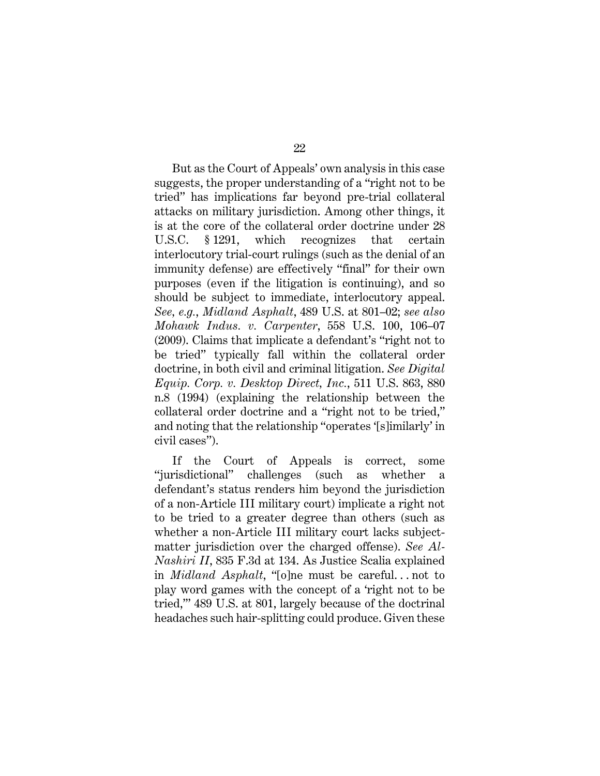But as the Court of Appeals' own analysis in this case suggests, the proper understanding of a "right not to be tried" has implications far beyond pre-trial collateral attacks on military jurisdiction. Among other things, it is at the core of the collateral order doctrine under 28 U.S.C. § 1291, which recognizes that certain interlocutory trial-court rulings (such as the denial of an immunity defense) are effectively "final" for their own purposes (even if the litigation is continuing), and so should be subject to immediate, interlocutory appeal. *See, e.g.*, *Midland Asphalt*, 489 U.S. at 801–02; *see also Mohawk Indus. v. Carpenter*, 558 U.S. 100, 106–07 (2009). Claims that implicate a defendant's "right not to be tried" typically fall within the collateral order doctrine, in both civil and criminal litigation. *See Digital Equip. Corp. v. Desktop Direct, Inc.*, 511 U.S. 863, 880 n.8 (1994) (explaining the relationship between the collateral order doctrine and a "right not to be tried," and noting that the relationship "operates '[s]imilarly' in civil cases").

If the Court of Appeals is correct, some "jurisdictional" challenges (such as whether a defendant's status renders him beyond the jurisdiction of a non-Article III military court) implicate a right not to be tried to a greater degree than others (such as whether a non-Article III military court lacks subjectmatter jurisdiction over the charged offense). *See Al-Nashiri II*, 835 F.3d at 134. As Justice Scalia explained in *Midland Asphalt*, "[o]ne must be careful. . . not to play word games with the concept of a 'right not to be tried,'" 489 U.S. at 801, largely because of the doctrinal headaches such hair-splitting could produce. Given these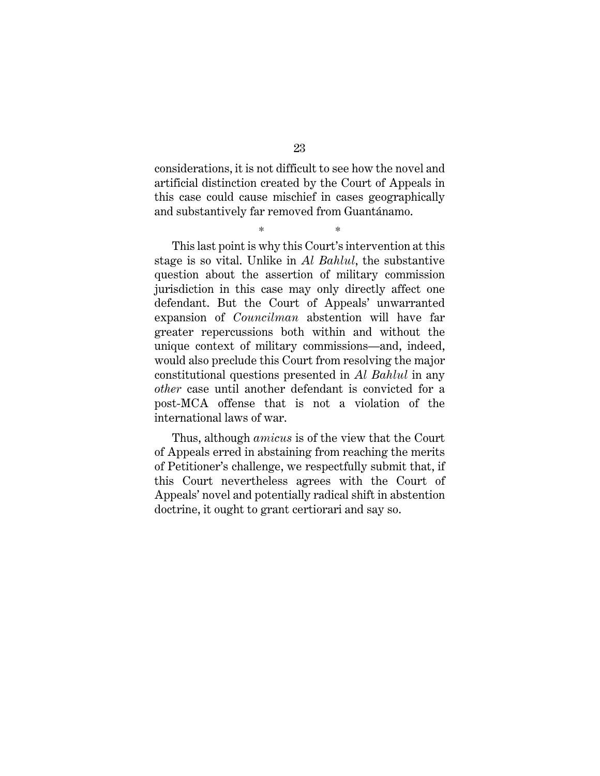considerations, it is not difficult to see how the novel and artificial distinction created by the Court of Appeals in this case could cause mischief in cases geographically and substantively far removed from Guantánamo.

\* \*

This last point is why this Court's intervention at this stage is so vital. Unlike in *Al Bahlul*, the substantive question about the assertion of military commission jurisdiction in this case may only directly affect one defendant. But the Court of Appeals' unwarranted expansion of *Councilman* abstention will have far greater repercussions both within and without the unique context of military commissions—and, indeed, would also preclude this Court from resolving the major constitutional questions presented in *Al Bahlul* in any *other* case until another defendant is convicted for a post-MCA offense that is not a violation of the international laws of war.

Thus, although *amicus* is of the view that the Court of Appeals erred in abstaining from reaching the merits of Petitioner's challenge, we respectfully submit that, if this Court nevertheless agrees with the Court of Appeals' novel and potentially radical shift in abstention doctrine, it ought to grant certiorari and say so.

23